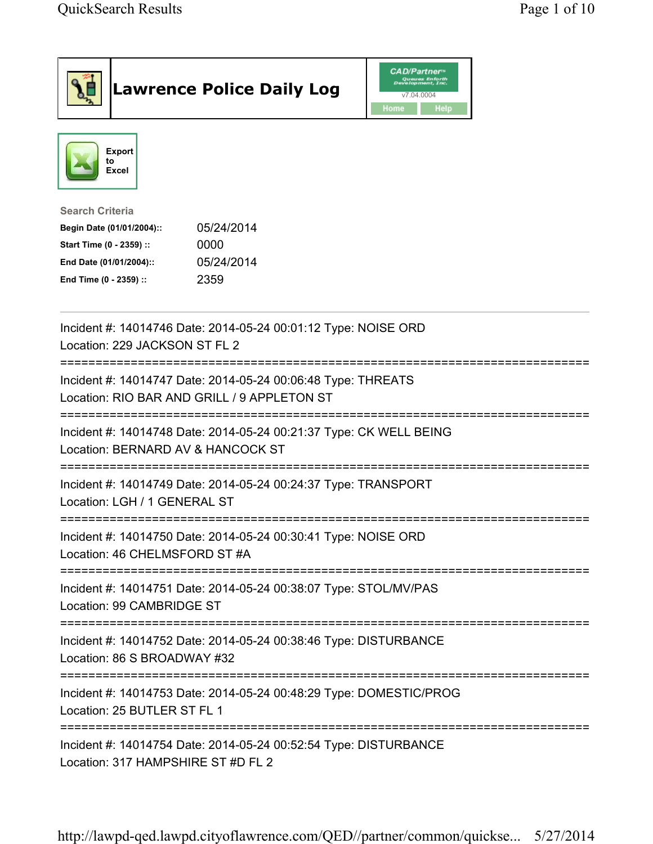|                                                                                                                                             | <b>Lawrence Police Daily Log</b>                                                                            | <b>CAD/Partner</b><br>Queues Enforth<br>Development, Inc.<br>v7.04.0004<br>Home<br>Help |  |  |
|---------------------------------------------------------------------------------------------------------------------------------------------|-------------------------------------------------------------------------------------------------------------|-----------------------------------------------------------------------------------------|--|--|
| <b>Export</b><br>to<br><b>Excel</b>                                                                                                         |                                                                                                             |                                                                                         |  |  |
| <b>Search Criteria</b><br>Begin Date (01/01/2004)::<br>Start Time (0 - 2359) ::<br>End Date (01/01/2004)::<br>End Time (0 - 2359) ::        | 05/24/2014<br>0000<br>05/24/2014<br>2359                                                                    |                                                                                         |  |  |
| Location: 229 JACKSON ST FL 2                                                                                                               | Incident #: 14014746 Date: 2014-05-24 00:01:12 Type: NOISE ORD                                              |                                                                                         |  |  |
|                                                                                                                                             | Incident #: 14014747 Date: 2014-05-24 00:06:48 Type: THREATS<br>Location: RIO BAR AND GRILL / 9 APPLETON ST |                                                                                         |  |  |
| Location: BERNARD AV & HANCOCK ST                                                                                                           | Incident #: 14014748 Date: 2014-05-24 00:21:37 Type: CK WELL BEING                                          |                                                                                         |  |  |
| Incident #: 14014749 Date: 2014-05-24 00:24:37 Type: TRANSPORT<br>Location: LGH / 1 GENERAL ST                                              |                                                                                                             |                                                                                         |  |  |
| Location: 46 CHELMSFORD ST #A                                                                                                               | Incident #: 14014750 Date: 2014-05-24 00:30:41 Type: NOISE ORD                                              |                                                                                         |  |  |
| Incident #: 14014751 Date: 2014-05-24 00:38:07 Type: STOL/MV/PAS<br>Location: 99 CAMBRIDGE ST                                               |                                                                                                             |                                                                                         |  |  |
| Location: 86 S BROADWAY #32                                                                                                                 | Incident #: 14014752 Date: 2014-05-24 00:38:46 Type: DISTURBANCE                                            |                                                                                         |  |  |
| --------------------------------------<br>Incident #: 14014753 Date: 2014-05-24 00:48:29 Type: DOMESTIC/PROG<br>Location: 25 BUTLER ST FL 1 |                                                                                                             |                                                                                         |  |  |
| Location: 317 HAMPSHIRE ST #D FL 2                                                                                                          | Incident #: 14014754 Date: 2014-05-24 00:52:54 Type: DISTURBANCE                                            |                                                                                         |  |  |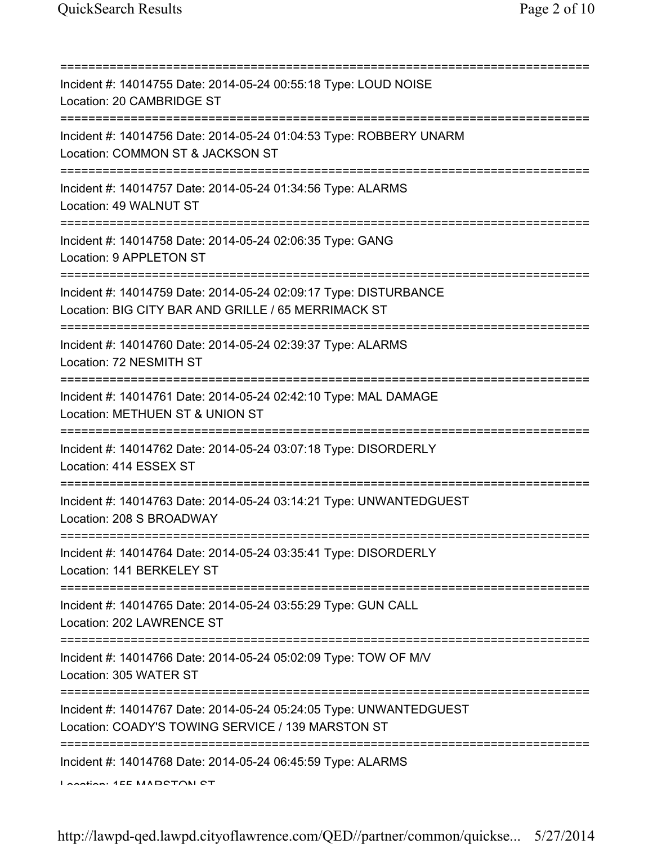| Incident #: 14014755 Date: 2014-05-24 00:55:18 Type: LOUD NOISE<br>Location: 20 CAMBRIDGE ST<br>===================                                      |
|----------------------------------------------------------------------------------------------------------------------------------------------------------|
| Incident #: 14014756 Date: 2014-05-24 01:04:53 Type: ROBBERY UNARM<br>Location: COMMON ST & JACKSON ST<br>=====================================          |
| Incident #: 14014757 Date: 2014-05-24 01:34:56 Type: ALARMS<br>Location: 49 WALNUT ST<br>================================                                |
| Incident #: 14014758 Date: 2014-05-24 02:06:35 Type: GANG<br>Location: 9 APPLETON ST                                                                     |
| Incident #: 14014759 Date: 2014-05-24 02:09:17 Type: DISTURBANCE<br>Location: BIG CITY BAR AND GRILLE / 65 MERRIMACK ST                                  |
| Incident #: 14014760 Date: 2014-05-24 02:39:37 Type: ALARMS<br>Location: 72 NESMITH ST                                                                   |
| Incident #: 14014761 Date: 2014-05-24 02:42:10 Type: MAL DAMAGE<br>Location: METHUEN ST & UNION ST                                                       |
| Incident #: 14014762 Date: 2014-05-24 03:07:18 Type: DISORDERLY<br>Location: 414 ESSEX ST                                                                |
| Incident #: 14014763 Date: 2014-05-24 03:14:21 Type: UNWANTEDGUEST<br>Location: 208 S BROADWAY                                                           |
| Incident #: 14014764 Date: 2014-05-24 03:35:41 Type: DISORDERLY<br>Location: 141 BERKELEY ST                                                             |
| Incident #: 14014765 Date: 2014-05-24 03:55:29 Type: GUN CALL<br>Location: 202 LAWRENCE ST                                                               |
| Incident #: 14014766 Date: 2014-05-24 05:02:09 Type: TOW OF M/V<br>Location: 305 WATER ST                                                                |
| =============================<br>Incident #: 14014767 Date: 2014-05-24 05:24:05 Type: UNWANTEDGUEST<br>Location: COADY'S TOWING SERVICE / 139 MARSTON ST |
| Incident #: 14014768 Date: 2014-05-24 06:45:59 Type: ALARMS<br>Continue AEE MADOTOM OT                                                                   |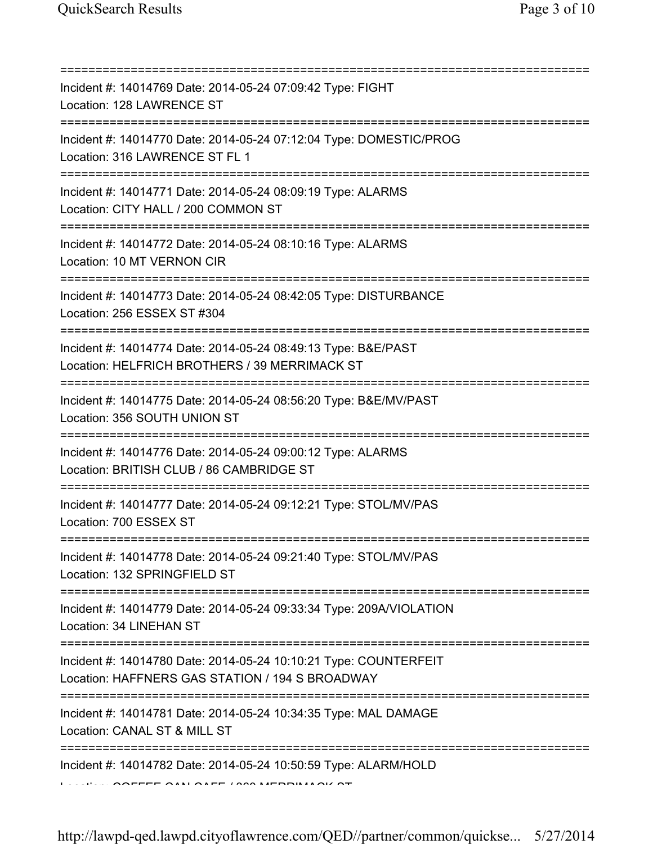| Incident #: 14014769 Date: 2014-05-24 07:09:42 Type: FIGHT<br>Location: 128 LAWRENCE ST<br>=======================<br>Incident #: 14014770 Date: 2014-05-24 07:12:04 Type: DOMESTIC/PROG<br>Location: 316 LAWRENCE ST FL 1<br>Incident #: 14014771 Date: 2014-05-24 08:09:19 Type: ALARMS<br>Location: CITY HALL / 200 COMMON ST<br>Incident #: 14014772 Date: 2014-05-24 08:10:16 Type: ALARMS<br>Location: 10 MT VERNON CIR<br>Incident #: 14014773 Date: 2014-05-24 08:42:05 Type: DISTURBANCE<br>Location: 256 ESSEX ST #304 |
|----------------------------------------------------------------------------------------------------------------------------------------------------------------------------------------------------------------------------------------------------------------------------------------------------------------------------------------------------------------------------------------------------------------------------------------------------------------------------------------------------------------------------------|
|                                                                                                                                                                                                                                                                                                                                                                                                                                                                                                                                  |
|                                                                                                                                                                                                                                                                                                                                                                                                                                                                                                                                  |
|                                                                                                                                                                                                                                                                                                                                                                                                                                                                                                                                  |
|                                                                                                                                                                                                                                                                                                                                                                                                                                                                                                                                  |
|                                                                                                                                                                                                                                                                                                                                                                                                                                                                                                                                  |
| Incident #: 14014774 Date: 2014-05-24 08:49:13 Type: B&E/PAST<br>Location: HELFRICH BROTHERS / 39 MERRIMACK ST                                                                                                                                                                                                                                                                                                                                                                                                                   |
| Incident #: 14014775 Date: 2014-05-24 08:56:20 Type: B&E/MV/PAST<br>Location: 356 SOUTH UNION ST<br>========================<br>:===========                                                                                                                                                                                                                                                                                                                                                                                     |
| Incident #: 14014776 Date: 2014-05-24 09:00:12 Type: ALARMS<br>Location: BRITISH CLUB / 86 CAMBRIDGE ST<br>===========================                                                                                                                                                                                                                                                                                                                                                                                           |
| Incident #: 14014777 Date: 2014-05-24 09:12:21 Type: STOL/MV/PAS<br>Location: 700 ESSEX ST                                                                                                                                                                                                                                                                                                                                                                                                                                       |
| Incident #: 14014778 Date: 2014-05-24 09:21:40 Type: STOL/MV/PAS<br>Location: 132 SPRINGFIELD ST                                                                                                                                                                                                                                                                                                                                                                                                                                 |
| Incident #: 14014779 Date: 2014-05-24 09:33:34 Type: 209A/VIOLATION<br>Location: 34 LINEHAN ST                                                                                                                                                                                                                                                                                                                                                                                                                                   |
| Incident #: 14014780 Date: 2014-05-24 10:10:21 Type: COUNTERFEIT<br>Location: HAFFNERS GAS STATION / 194 S BROADWAY                                                                                                                                                                                                                                                                                                                                                                                                              |
| Incident #: 14014781 Date: 2014-05-24 10:34:35 Type: MAL DAMAGE<br>Location: CANAL ST & MILL ST                                                                                                                                                                                                                                                                                                                                                                                                                                  |
| Incident #: 14014782 Date: 2014-05-24 10:50:59 Type: ALARM/HOLD                                                                                                                                                                                                                                                                                                                                                                                                                                                                  |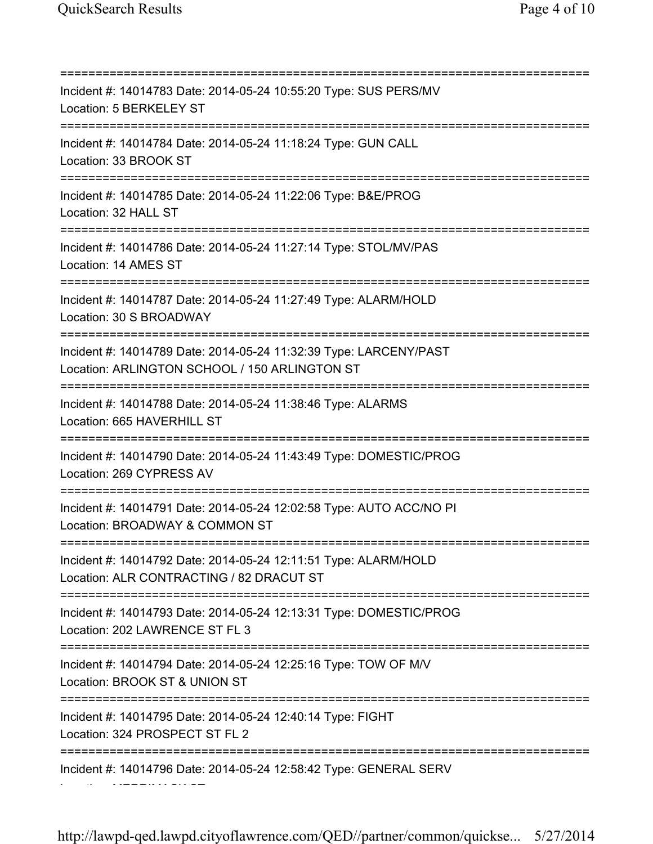=========================================================================== Incident #: 14014783 Date: 2014-05-24 10:55:20 Type: SUS PERS/MV Location: 5 BERKELEY ST =========================================================================== Incident #: 14014784 Date: 2014-05-24 11:18:24 Type: GUN CALL Location: 33 BROOK ST =========================================================================== Incident #: 14014785 Date: 2014-05-24 11:22:06 Type: B&E/PROG Location: 32 HALL ST =========================================================================== Incident #: 14014786 Date: 2014-05-24 11:27:14 Type: STOL/MV/PAS Location: 14 AMES ST =========================================================================== Incident #: 14014787 Date: 2014-05-24 11:27:49 Type: ALARM/HOLD Location: 30 S BROADWAY =========================================================================== Incident #: 14014789 Date: 2014-05-24 11:32:39 Type: LARCENY/PAST Location: ARLINGTON SCHOOL / 150 ARLINGTON ST =========================================================================== Incident #: 14014788 Date: 2014-05-24 11:38:46 Type: ALARMS Location: 665 HAVERHILL ST =========================================================================== Incident #: 14014790 Date: 2014-05-24 11:43:49 Type: DOMESTIC/PROG Location: 269 CYPRESS AV =========================================================================== Incident #: 14014791 Date: 2014-05-24 12:02:58 Type: AUTO ACC/NO PI Location: BROADWAY & COMMON ST =========================================================================== Incident #: 14014792 Date: 2014-05-24 12:11:51 Type: ALARM/HOLD Location: ALR CONTRACTING / 82 DRACUT ST =========================================================================== Incident #: 14014793 Date: 2014-05-24 12:13:31 Type: DOMESTIC/PROG Location: 202 LAWRENCE ST FL 3 =========================================================================== Incident #: 14014794 Date: 2014-05-24 12:25:16 Type: TOW OF M/V Location: BROOK ST & UNION ST =========================================================================== Incident #: 14014795 Date: 2014-05-24 12:40:14 Type: FIGHT Location: 324 PROSPECT ST FL 2 =========================================================================== Incident #: 14014796 Date: 2014-05-24 12:58:42 Type: GENERAL SERV Location: MERRIMACK ST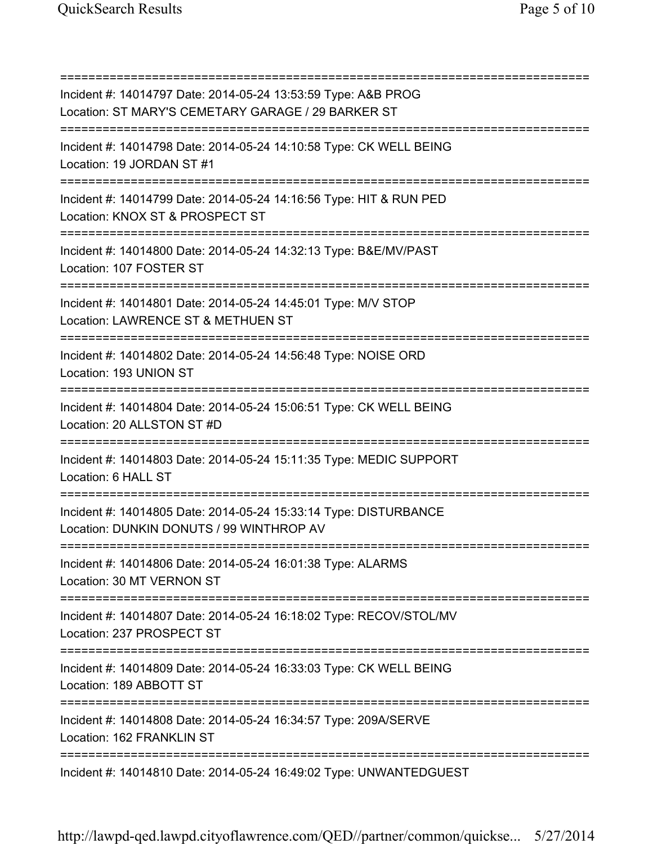=========================================================================== Incident #: 14014797 Date: 2014-05-24 13:53:59 Type: A&B PROG Location: ST MARY'S CEMETARY GARAGE / 29 BARKER ST =========================================================================== Incident #: 14014798 Date: 2014-05-24 14:10:58 Type: CK WELL BEING Location: 19 JORDAN ST #1 =========================================================================== Incident #: 14014799 Date: 2014-05-24 14:16:56 Type: HIT & RUN PED Location: KNOX ST & PROSPECT ST =========================================================================== Incident #: 14014800 Date: 2014-05-24 14:32:13 Type: B&E/MV/PAST Location: 107 FOSTER ST =========================================================================== Incident #: 14014801 Date: 2014-05-24 14:45:01 Type: M/V STOP Location: LAWRENCE ST & METHUEN ST =========================================================================== Incident #: 14014802 Date: 2014-05-24 14:56:48 Type: NOISE ORD Location: 193 UNION ST =========================================================================== Incident #: 14014804 Date: 2014-05-24 15:06:51 Type: CK WELL BEING Location: 20 ALLSTON ST #D =========================================================================== Incident #: 14014803 Date: 2014-05-24 15:11:35 Type: MEDIC SUPPORT Location: 6 HALL ST =========================================================================== Incident #: 14014805 Date: 2014-05-24 15:33:14 Type: DISTURBANCE Location: DUNKIN DONUTS / 99 WINTHROP AV =========================================================================== Incident #: 14014806 Date: 2014-05-24 16:01:38 Type: ALARMS Location: 30 MT VERNON ST =========================================================================== Incident #: 14014807 Date: 2014-05-24 16:18:02 Type: RECOV/STOL/MV Location: 237 PROSPECT ST =========================================================================== Incident #: 14014809 Date: 2014-05-24 16:33:03 Type: CK WELL BEING Location: 189 ABBOTT ST =========================================================================== Incident #: 14014808 Date: 2014-05-24 16:34:57 Type: 209A/SERVE Location: 162 FRANKLIN ST =========================================================================== Incident #: 14014810 Date: 2014-05-24 16:49:02 Type: UNWANTEDGUEST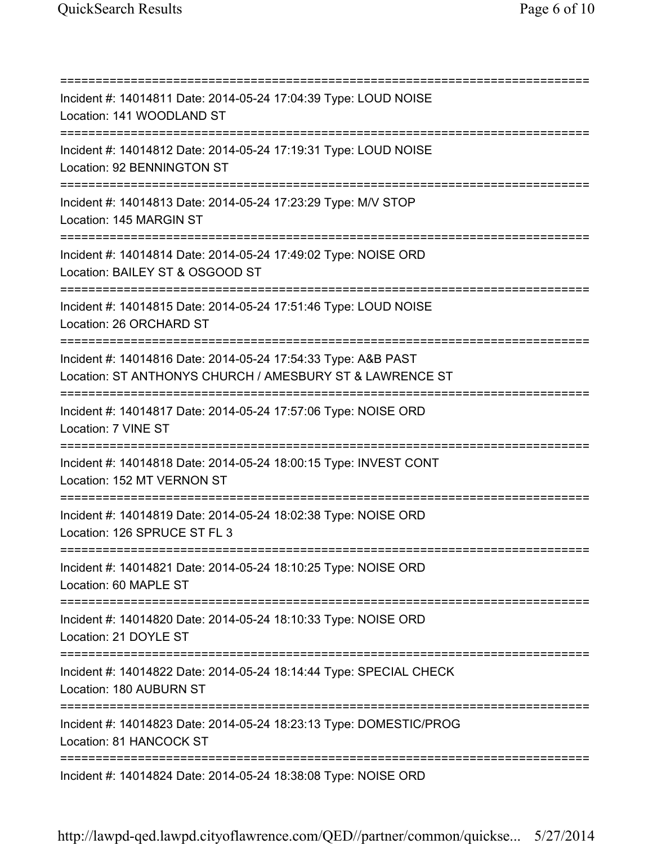=========================================================================== Incident #: 14014811 Date: 2014-05-24 17:04:39 Type: LOUD NOISE Location: 141 WOODLAND ST =========================================================================== Incident #: 14014812 Date: 2014-05-24 17:19:31 Type: LOUD NOISE Location: 92 BENNINGTON ST =========================================================================== Incident #: 14014813 Date: 2014-05-24 17:23:29 Type: M/V STOP Location: 145 MARGIN ST =========================================================================== Incident #: 14014814 Date: 2014-05-24 17:49:02 Type: NOISE ORD Location: BAILEY ST & OSGOOD ST =========================================================================== Incident #: 14014815 Date: 2014-05-24 17:51:46 Type: LOUD NOISE Location: 26 ORCHARD ST =========================================================================== Incident #: 14014816 Date: 2014-05-24 17:54:33 Type: A&B PAST Location: ST ANTHONYS CHURCH / AMESBURY ST & LAWRENCE ST =========================================================================== Incident #: 14014817 Date: 2014-05-24 17:57:06 Type: NOISE ORD Location: 7 VINE ST =========================================================================== Incident #: 14014818 Date: 2014-05-24 18:00:15 Type: INVEST CONT Location: 152 MT VERNON ST =========================================================================== Incident #: 14014819 Date: 2014-05-24 18:02:38 Type: NOISE ORD Location: 126 SPRUCE ST FL 3 =========================================================================== Incident #: 14014821 Date: 2014-05-24 18:10:25 Type: NOISE ORD Location: 60 MAPLE ST =========================================================================== Incident #: 14014820 Date: 2014-05-24 18:10:33 Type: NOISE ORD Location: 21 DOYLE ST =========================================================================== Incident #: 14014822 Date: 2014-05-24 18:14:44 Type: SPECIAL CHECK Location: 180 AUBURN ST =========================================================================== Incident #: 14014823 Date: 2014-05-24 18:23:13 Type: DOMESTIC/PROG Location: 81 HANCOCK ST =========================================================================== Incident #: 14014824 Date: 2014-05-24 18:38:08 Type: NOISE ORD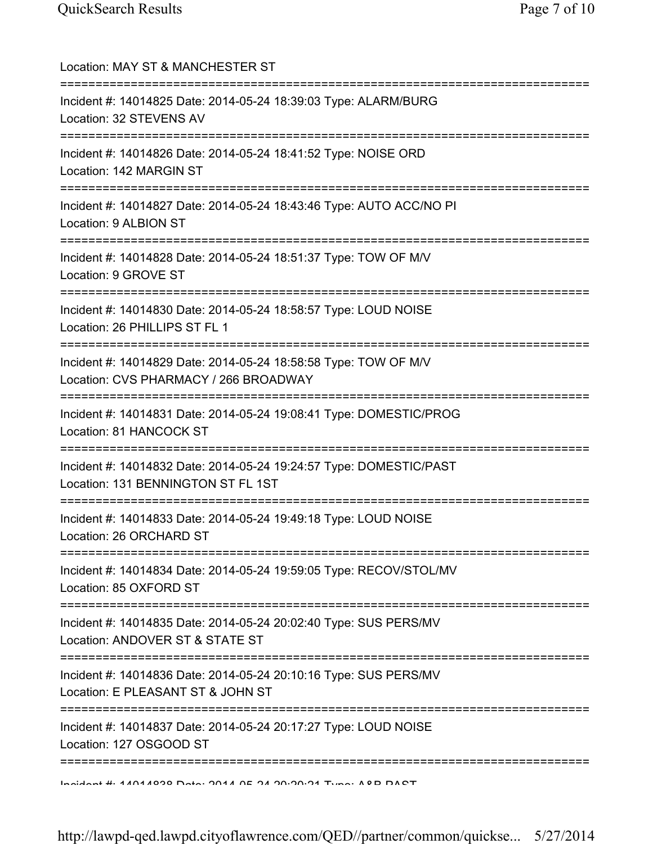| Location: MAY ST & MANCHESTER ST                                                                                               |
|--------------------------------------------------------------------------------------------------------------------------------|
| Incident #: 14014825 Date: 2014-05-24 18:39:03 Type: ALARM/BURG<br>Location: 32 STEVENS AV                                     |
| Incident #: 14014826 Date: 2014-05-24 18:41:52 Type: NOISE ORD<br>Location: 142 MARGIN ST                                      |
| Incident #: 14014827 Date: 2014-05-24 18:43:46 Type: AUTO ACC/NO PI<br>Location: 9 ALBION ST                                   |
| Incident #: 14014828 Date: 2014-05-24 18:51:37 Type: TOW OF M/V<br>Location: 9 GROVE ST<br>-----------------------             |
| Incident #: 14014830 Date: 2014-05-24 18:58:57 Type: LOUD NOISE<br>Location: 26 PHILLIPS ST FL 1<br>===================        |
| Incident #: 14014829 Date: 2014-05-24 18:58:58 Type: TOW OF M/V<br>Location: CVS PHARMACY / 266 BROADWAY                       |
| Incident #: 14014831 Date: 2014-05-24 19:08:41 Type: DOMESTIC/PROG<br>Location: 81 HANCOCK ST                                  |
| Incident #: 14014832 Date: 2014-05-24 19:24:57 Type: DOMESTIC/PAST<br>Location: 131 BENNINGTON ST FL 1ST                       |
| Incident #: 14014833 Date: 2014-05-24 19:49:18 Type: LOUD NOISE<br>Location: 26 ORCHARD ST                                     |
| Incident #: 14014834 Date: 2014-05-24 19:59:05 Type: RECOV/STOL/MV<br>Location: 85 OXFORD ST                                   |
| Incident #: 14014835 Date: 2014-05-24 20:02:40 Type: SUS PERS/MV<br>Location: ANDOVER ST & STATE ST<br>======================= |
| Incident #: 14014836 Date: 2014-05-24 20:10:16 Type: SUS PERS/MV<br>Location: E PLEASANT ST & JOHN ST<br>==========            |
| Incident #: 14014837 Date: 2014-05-24 20:17:27 Type: LOUD NOISE<br>Location: 127 OSGOOD ST                                     |
| Incident #: 11011020 Data: 2011 0E 21 20:20:21 Tune: 10D DACT                                                                  |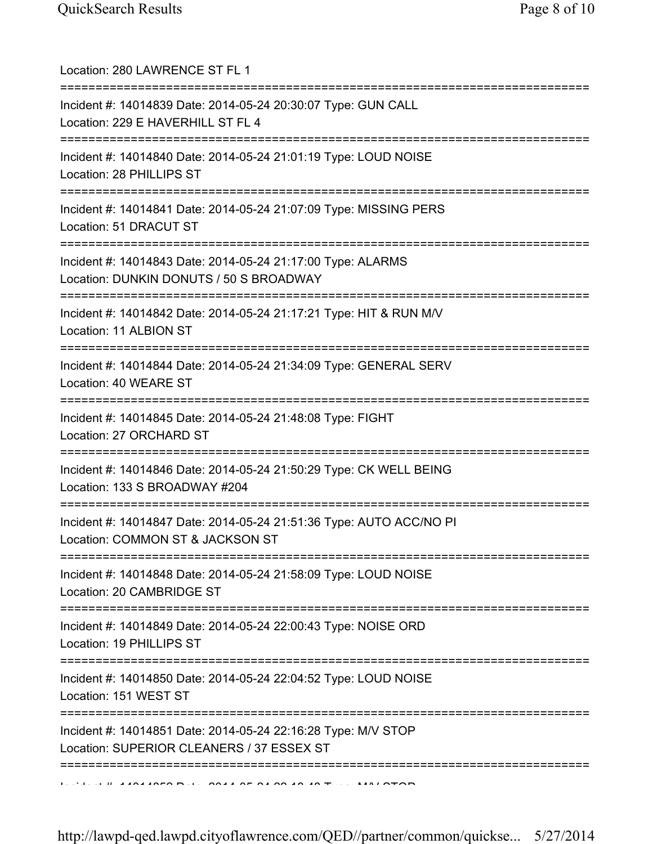| Location: 280 LAWRENCE ST FL 1                                                                                                     |
|------------------------------------------------------------------------------------------------------------------------------------|
| Incident #: 14014839 Date: 2014-05-24 20:30:07 Type: GUN CALL<br>Location: 229 E HAVERHILL ST FL 4                                 |
| Incident #: 14014840 Date: 2014-05-24 21:01:19 Type: LOUD NOISE<br>Location: 28 PHILLIPS ST<br>=================================== |
| Incident #: 14014841 Date: 2014-05-24 21:07:09 Type: MISSING PERS<br>Location: 51 DRACUT ST                                        |
| Incident #: 14014843 Date: 2014-05-24 21:17:00 Type: ALARMS<br>Location: DUNKIN DONUTS / 50 S BROADWAY                             |
| Incident #: 14014842 Date: 2014-05-24 21:17:21 Type: HIT & RUN M/V<br>Location: 11 ALBION ST                                       |
| Incident #: 14014844 Date: 2014-05-24 21:34:09 Type: GENERAL SERV<br>Location: 40 WEARE ST                                         |
| Incident #: 14014845 Date: 2014-05-24 21:48:08 Type: FIGHT<br>Location: 27 ORCHARD ST                                              |
| Incident #: 14014846 Date: 2014-05-24 21:50:29 Type: CK WELL BEING<br>Location: 133 S BROADWAY #204                                |
| Incident #: 14014847 Date: 2014-05-24 21:51:36 Type: AUTO ACC/NO PI<br>Location: COMMON ST & JACKSON ST                            |
| Incident #: 14014848 Date: 2014-05-24 21:58:09 Type: LOUD NOISE<br>Location: 20 CAMBRIDGE ST                                       |
| Incident #: 14014849 Date: 2014-05-24 22:00:43 Type: NOISE ORD<br>Location: 19 PHILLIPS ST                                         |
| Incident #: 14014850 Date: 2014-05-24 22:04:52 Type: LOUD NOISE<br>Location: 151 WEST ST                                           |
| Incident #: 14014851 Date: 2014-05-24 22:16:28 Type: M/V STOP<br>Location: SUPERIOR CLEANERS / 37 ESSEX ST                         |
|                                                                                                                                    |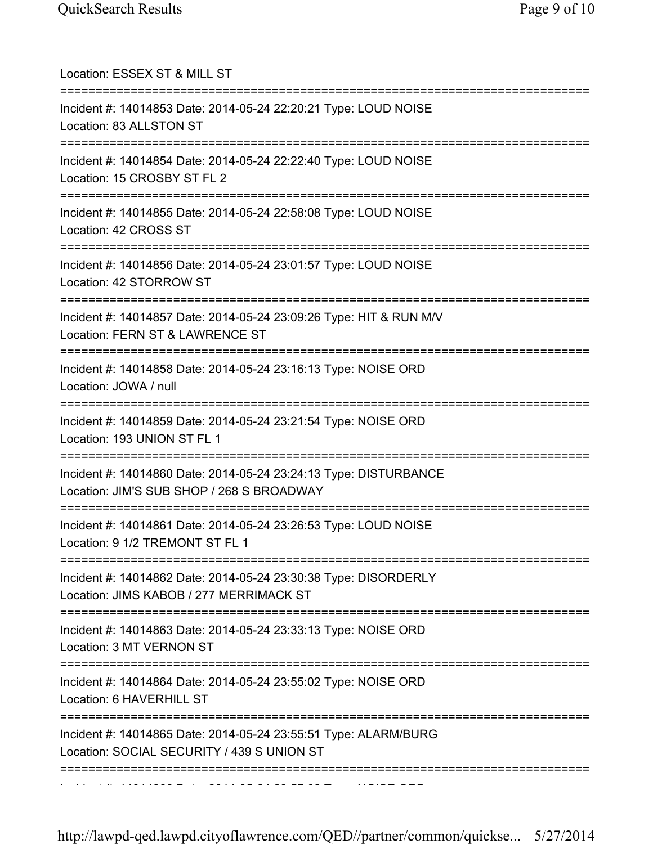| Location: ESSEX ST & MILL ST                                                                                                           |
|----------------------------------------------------------------------------------------------------------------------------------------|
| Incident #: 14014853 Date: 2014-05-24 22:20:21 Type: LOUD NOISE<br>Location: 83 ALLSTON ST                                             |
| Incident #: 14014854 Date: 2014-05-24 22:22:40 Type: LOUD NOISE<br>Location: 15 CROSBY ST FL 2                                         |
| Incident #: 14014855 Date: 2014-05-24 22:58:08 Type: LOUD NOISE<br>Location: 42 CROSS ST                                               |
| Incident #: 14014856 Date: 2014-05-24 23:01:57 Type: LOUD NOISE<br>Location: 42 STORROW ST                                             |
| Incident #: 14014857 Date: 2014-05-24 23:09:26 Type: HIT & RUN M/V<br>Location: FERN ST & LAWRENCE ST<br>==========================    |
| Incident #: 14014858 Date: 2014-05-24 23:16:13 Type: NOISE ORD<br>Location: JOWA / null                                                |
| Incident #: 14014859 Date: 2014-05-24 23:21:54 Type: NOISE ORD<br>Location: 193 UNION ST FL 1                                          |
| Incident #: 14014860 Date: 2014-05-24 23:24:13 Type: DISTURBANCE<br>Location: JIM'S SUB SHOP / 268 S BROADWAY                          |
| ================================<br>Incident #: 14014861 Date: 2014-05-24 23:26:53 Type: LOUD NOISE<br>Location: 9 1/2 TREMONT ST FL 1 |
| Incident #: 14014862 Date: 2014-05-24 23:30:38 Type: DISORDERLY<br>Location: JIMS KABOB / 277 MERRIMACK ST                             |
| Incident #: 14014863 Date: 2014-05-24 23:33:13 Type: NOISE ORD<br>Location: 3 MT VERNON ST                                             |
| Incident #: 14014864 Date: 2014-05-24 23:55:02 Type: NOISE ORD<br>Location: 6 HAVERHILL ST                                             |
| Incident #: 14014865 Date: 2014-05-24 23:55:51 Type: ALARM/BURG<br>Location: SOCIAL SECURITY / 439 S UNION ST                          |
|                                                                                                                                        |